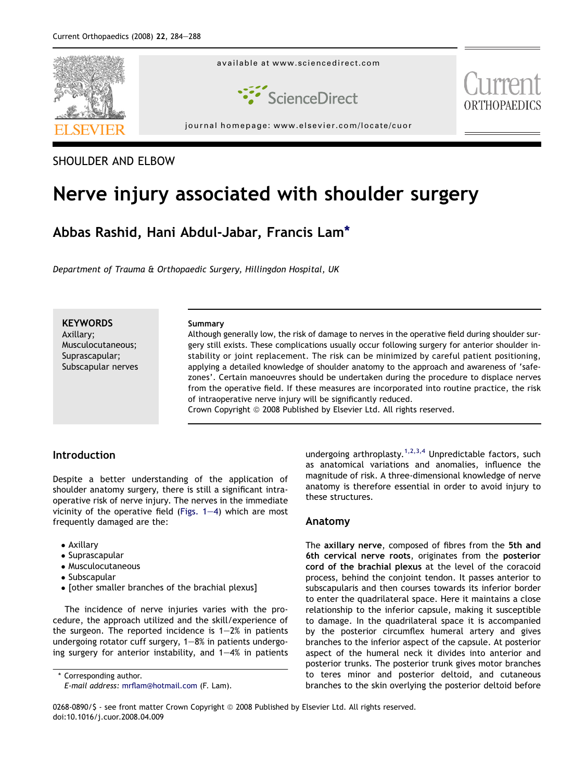

# SHOULDER AND ELBOW

# Nerve injury associated with shoulder surgery

Abbas Rashid, Hani Abdul-Jabar, Francis Lam\*

Department of Trauma & Orthopaedic Surgery, Hillingdon Hospital, UK

**KEYWORDS** Axillary; Musculocutaneous; Suprascapular; Subscapular nerves

#### Summary

Although generally low, the risk of damage to nerves in the operative field during shoulder surgery still exists. These complications usually occur following surgery for anterior shoulder instability or joint replacement. The risk can be minimized by careful patient positioning, applying a detailed knowledge of shoulder anatomy to the approach and awareness of 'safezones'. Certain manoeuvres should be undertaken during the procedure to displace nerves from the operative field. If these measures are incorporated into routine practice, the risk of intraoperative nerve injury will be significantly reduced.

Crown Copyright © 2008 Published by Elsevier Ltd. All rights reserved.

# Introduction

Despite a better understanding of the application of shoulder anatomy surgery, there is still a significant intraoperative risk of nerve injury. The nerves in the immediate vicinity of the operative field (Figs.  $1-4$ ) which are most frequently damaged are the:

- Axillary
- Suprascapular
- Musculocutaneous
- Subscapular
- [other smaller branches of the brachial plexus]

The incidence of nerve injuries varies with the procedure, the approach utilized and the skill/experience of the surgeon. The reported incidence is  $1-2%$  in patients undergoing rotator cuff surgery,  $1-8\%$  in patients undergoing surgery for anterior instability, and  $1-4%$  in patients

undergoing arthroplasty.<sup>[1,2,3,4](#page-4-0)</sup> Unpredictable factors, such as anatomical variations and anomalies, influence the magnitude of risk. A three-dimensional knowledge of nerve anatomy is therefore essential in order to avoid injury to these structures.

# Anatomy

The axillary nerve, composed of fibres from the 5th and 6th cervical nerve roots, originates from the posterior cord of the brachial plexus at the level of the coracoid process, behind the conjoint tendon. It passes anterior to subscapularis and then courses towards its inferior border to enter the quadrilateral space. Here it maintains a close relationship to the inferior capsule, making it susceptible to damage. In the quadrilateral space it is accompanied by the posterior circumflex humeral artery and gives branches to the inferior aspect of the capsule. At posterior aspect of the humeral neck it divides into anterior and posterior trunks. The posterior trunk gives motor branches to teres minor and posterior deltoid, and cutaneous branches to the skin overlying the posterior deltoid before

0268-0890/\$ - see front matter Crown Copyright @ 2008 Published by Elsevier Ltd. All rights reserved. doi:10.1016/j.cuor.2008.04.009

<sup>\*</sup> Corresponding author. E-mail address: [mrflam@hotmail.com](mailto:mrflam@hotmail.com) (F. Lam).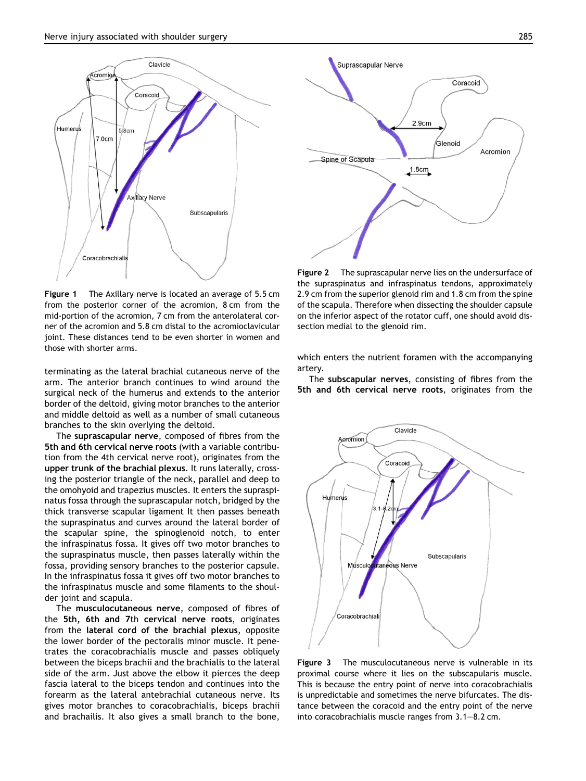<span id="page-1-0"></span>

Figure 1 The Axillary nerve is located an average of 5.5 cm from the posterior corner of the acromion, 8 cm from the mid-portion of the acromion, 7 cm from the anterolateral corner of the acromion and 5.8 cm distal to the acromioclavicular joint. These distances tend to be even shorter in women and those with shorter arms.

terminating as the lateral brachial cutaneous nerve of the arm. The anterior branch continues to wind around the surgical neck of the humerus and extends to the anterior border of the deltoid, giving motor branches to the anterior and middle deltoid as well as a number of small cutaneous branches to the skin overlying the deltoid.

The suprascapular nerve, composed of fibres from the 5th and 6th cervical nerve roots (with a variable contribution from the 4th cervical nerve root), originates from the upper trunk of the brachial plexus. It runs laterally, crossing the posterior triangle of the neck, parallel and deep to the omohyoid and trapezius muscles. It enters the supraspinatus fossa through the suprascapular notch, bridged by the thick transverse scapular ligament It then passes beneath the supraspinatus and curves around the lateral border of the scapular spine, the spinoglenoid notch, to enter the infraspinatus fossa. It gives off two motor branches to the supraspinatus muscle, then passes laterally within the fossa, providing sensory branches to the posterior capsule. In the infraspinatus fossa it gives off two motor branches to the infraspinatus muscle and some filaments to the shoulder joint and scapula.

The musculocutaneous nerve, composed of fibres of the 5th, 6th and 7th cervical nerve roots, originates from the lateral cord of the brachial plexus, opposite the lower border of the pectoralis minor muscle. It penetrates the coracobrachialis muscle and passes obliquely between the biceps brachii and the brachialis to the lateral side of the arm. Just above the elbow it pierces the deep fascia lateral to the biceps tendon and continues into the forearm as the lateral antebrachial cutaneous nerve. Its gives motor branches to coracobrachialis, biceps brachii and brachailis. It also gives a small branch to the bone,



Figure 2 The suprascapular nerve lies on the undersurface of the supraspinatus and infraspinatus tendons, approximately 2.9 cm from the superior glenoid rim and 1.8 cm from the spine of the scapula. Therefore when dissecting the shoulder capsule on the inferior aspect of the rotator cuff, one should avoid dissection medial to the glenoid rim.

which enters the nutrient foramen with the accompanying artery.

The subscapular nerves, consisting of fibres from the 5th and 6th cervical nerve roots, originates from the



Figure 3 The musculocutaneous nerve is vulnerable in its proximal course where it lies on the subscapularis muscle. This is because the entry point of nerve into coracobrachialis is unpredictable and sometimes the nerve bifurcates. The distance between the coracoid and the entry point of the nerve into coracobrachialis muscle ranges from  $3.1-8.2$  cm.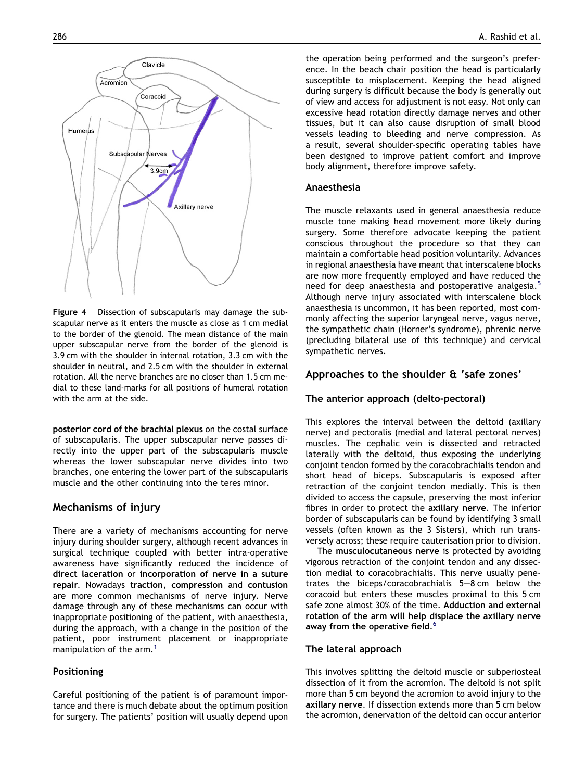

Figure 4 Dissection of subscapularis may damage the subscapular nerve as it enters the muscle as close as 1 cm medial to the border of the glenoid. The mean distance of the main upper subscapular nerve from the border of the glenoid is 3.9 cm with the shoulder in internal rotation, 3.3 cm with the shoulder in neutral, and 2.5 cm with the shoulder in external rotation. All the nerve branches are no closer than 1.5 cm medial to these land-marks for all positions of humeral rotation with the arm at the side.

posterior cord of the brachial plexus on the costal surface of subscapularis. The upper subscapular nerve passes directly into the upper part of the subscapularis muscle whereas the lower subscapular nerve divides into two branches, one entering the lower part of the subscapularis muscle and the other continuing into the teres minor.

# Mechanisms of injury

There are a variety of mechanisms accounting for nerve injury during shoulder surgery, although recent advances in surgical technique coupled with better intra-operative awareness have significantly reduced the incidence of direct laceration or incorporation of nerve in a suture repair. Nowadays traction, compression and contusion are more common mechanisms of nerve injury. Nerve damage through any of these mechanisms can occur with inappropriate positioning of the patient, with anaesthesia, during the approach, with a change in the position of the patient, poor instrument placement or inappropriate manipulation of the arm.<sup>1</sup>

# Positioning

Careful positioning of the patient is of paramount importance and there is much debate about the optimum position for surgery. The patients' position will usually depend upon

the operation being performed and the surgeon's preference. In the beach chair position the head is particularly susceptible to misplacement. Keeping the head aligned during surgery is difficult because the body is generally out of view and access for adjustment is not easy. Not only can excessive head rotation directly damage nerves and other tissues, but it can also cause disruption of small blood vessels leading to bleeding and nerve compression. As a result, several shoulder-specific operating tables have been designed to improve patient comfort and improve body alignment, therefore improve safety.

#### Anaesthesia

The muscle relaxants used in general anaesthesia reduce muscle tone making head movement more likely during surgery. Some therefore advocate keeping the patient conscious throughout the procedure so that they can maintain a comfortable head position voluntarily. Advances in regional anaesthesia have meant that interscalene blocks are now more frequently employed and have reduced the need for deep anaesthesia and postoperative analgesia.<sup>[5](#page-4-0)</sup> Although nerve injury associated with interscalene block anaesthesia is uncommon, it has been reported, most commonly affecting the superior laryngeal nerve, vagus nerve, the sympathetic chain (Horner's syndrome), phrenic nerve (precluding bilateral use of this technique) and cervical sympathetic nerves.

# Approaches to the shoulder & 'safe zones'

#### The anterior approach (delto-pectoral)

This explores the interval between the deltoid (axillary nerve) and pectoralis (medial and lateral pectoral nerves) muscles. The cephalic vein is dissected and retracted laterally with the deltoid, thus exposing the underlying conjoint tendon formed by the coracobrachialis tendon and short head of biceps. Subscapularis is exposed after retraction of the conjoint tendon medially. This is then divided to access the capsule, preserving the most inferior fibres in order to protect the axillary nerve. The inferior border of subscapularis can be found by identifying 3 small vessels (often known as the 3 Sisters), which run transversely across; these require cauterisation prior to division.

The musculocutaneous nerve is protected by avoiding vigorous retraction of the conjoint tendon and any dissection medial to coracobrachialis. This nerve usually penetrates the biceps/coracobrachialis  $5-8$  cm below the coracoid but enters these muscles proximal to this 5 cm safe zone almost 30% of the time. Adduction and external rotation of the arm will help displace the axillary nerve away from the operative field.<sup>[6](#page-4-0)</sup>

# The lateral approach

This involves splitting the deltoid muscle or subperiosteal dissection of it from the acromion. The deltoid is not split more than 5 cm beyond the acromion to avoid injury to the axillary nerve. If dissection extends more than 5 cm below the acromion, denervation of the deltoid can occur anterior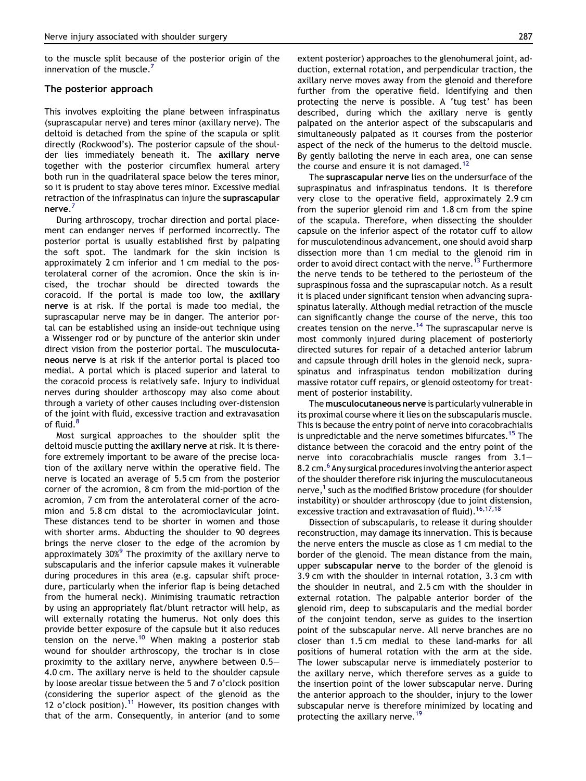to the muscle split because of the posterior origin of the innervation of the muscle. $<sup>7</sup>$ </sup>

#### The posterior approach

This involves exploiting the plane between infraspinatus (suprascapular nerve) and teres minor (axillary nerve). The deltoid is detached from the spine of the scapula or split directly (Rockwood's). The posterior capsule of the shoulder lies immediately beneath it. The axillary nerve together with the posterior circumflex humeral artery both run in the quadrilateral space below the teres minor, so it is prudent to stay above teres minor. Excessive medial retraction of the infraspinatus can injure the suprascapular nerve.<sup>[7](#page-4-0)</sup>

During arthroscopy, trochar direction and portal placement can endanger nerves if performed incorrectly. The posterior portal is usually established first by palpating the soft spot. The landmark for the skin incision is approximately 2 cm inferior and 1 cm medial to the posterolateral corner of the acromion. Once the skin is incised, the trochar should be directed towards the coracoid. If the portal is made too low, the axillary nerve is at risk. If the portal is made too medial, the suprascapular nerve may be in danger. The anterior portal can be established using an inside-out technique using a Wissenger rod or by puncture of the anterior skin under direct vision from the posterior portal. The musculocutaneous nerve is at risk if the anterior portal is placed too medial. A portal which is placed superior and lateral to the coracoid process is relatively safe. Injury to individual nerves during shoulder arthoscopy may also come about through a variety of other causes including over-distension of the joint with fluid, excessive traction and extravasation of fluid.<sup>[8](#page-4-0)</sup>

Most surgical approaches to the shoulder split the deltoid muscle putting the axillary nerve at risk. It is therefore extremely important to be aware of the precise location of the axillary nerve within the operative field. The nerve is located an average of 5.5 cm from the posterior corner of the acromion, 8 cm from the mid-portion of the acromion, 7 cm from the anterolateral corner of the acromion and 5.8 cm distal to the acromioclavicular joint. These distances tend to be shorter in women and those with shorter arms. Abducting the shoulder to 90 degrees brings the nerve closer to the edge of the acromion by approximately 30%<sup>[9](#page-4-0)</sup> The proximity of the axillary nerve to subscapularis and the inferior capsule makes it vulnerable during procedures in this area (e.g. capsular shift procedure, particularly when the inferior flap is being detached from the humeral neck). Minimising traumatic retraction by using an appropriately flat/blunt retractor will help, as will externally rotating the humerus. Not only does this provide better exposure of the capsule but it also reduces tension on the nerve.<sup>[10](#page-4-0)</sup> When making a posterior stab wound for shoulder arthroscopy, the trochar is in close proximity to the axillary nerve, anywhere between  $0.5-$ 4.0 cm. The axillary nerve is held to the shoulder capsule by loose areolar tissue between the 5 and 7 o'clock position (considering the superior aspect of the glenoid as the 12 o'clock position).<sup>[11](#page-4-0)</sup> However, its position changes with that of the arm. Consequently, in anterior (and to some extent posterior) approaches to the glenohumeral joint, adduction, external rotation, and perpendicular traction, the axillary nerve moves away from the glenoid and therefore further from the operative field. Identifying and then protecting the nerve is possible. A 'tug test' has been described, during which the axillary nerve is gently palpated on the anterior aspect of the subscapularis and simultaneously palpated as it courses from the posterior aspect of the neck of the humerus to the deltoid muscle. By gently balloting the nerve in each area, one can sense the course and ensure it is not damaged.<sup>[12](#page-4-0)</sup>

The suprascapular nerve lies on the undersurface of the supraspinatus and infraspinatus tendons. It is therefore very close to the operative field, approximately 2.9 cm from the superior glenoid rim and 1.8 cm from the spine of the scapula. Therefore, when dissecting the shoulder capsule on the inferior aspect of the rotator cuff to allow for musculotendinous advancement, one should avoid sharp dissection more than 1 cm medial to the glenoid rim in order to avoid direct contact with the nerve.<sup> $13$ </sup> Furthermore the nerve tends to be tethered to the periosteum of the supraspinous fossa and the suprascapular notch. As a result it is placed under significant tension when advancing supraspinatus laterally. Although medial retraction of the muscle can significantly change the course of the nerve, this too creates tension on the nerve.[14](#page-4-0) The suprascapular nerve is most commonly injured during placement of posteriorly directed sutures for repair of a detached anterior labrum and capsule through drill holes in the glenoid neck, supraspinatus and infraspinatus tendon mobilization during massive rotator cuff repairs, or glenoid osteotomy for treatment of posterior instability.

The musculocutaneous nerve is particularly vulnerable in its proximal course where it lies on the subscapularis muscle. This is because the entry point of nerve into coracobrachialis is unpredictable and the nerve sometimes bifurcates.<sup>[15](#page-4-0)</sup> The distance between the coracoid and the entry point of the nerve into coracobrachialis muscle ranges from  $3.1-$ 8.2 cm.<sup>6</sup> Any surgical procedures involving the anterior aspect of the shoulder therefore risk injuring the musculocutaneous nerve,<sup>1</sup> such as the modified Bristow procedure (for shoulder instability) or shoulder arthroscopy (due to joint distension, excessive traction and extravasation of fluid).<sup>[16,17,18](#page-4-0)</sup>

Dissection of subscapularis, to release it during shoulder reconstruction, may damage its innervation. This is because the nerve enters the muscle as close as 1 cm medial to the border of the glenoid. The mean distance from the main, upper subscapular nerve to the border of the glenoid is 3.9 cm with the shoulder in internal rotation, 3.3 cm with the shoulder in neutral, and 2.5 cm with the shoulder in external rotation. The palpable anterior border of the glenoid rim, deep to subscapularis and the medial border of the conjoint tendon, serve as guides to the insertion point of the subscapular nerve. All nerve branches are no closer than 1.5 cm medial to these land-marks for all positions of humeral rotation with the arm at the side. The lower subscapular nerve is immediately posterior to the axillary nerve, which therefore serves as a guide to the insertion point of the lower subscapular nerve. During the anterior approach to the shoulder, injury to the lower subscapular nerve is therefore minimized by locating and protecting the axillary nerve.<sup>[19](#page-4-0)</sup>